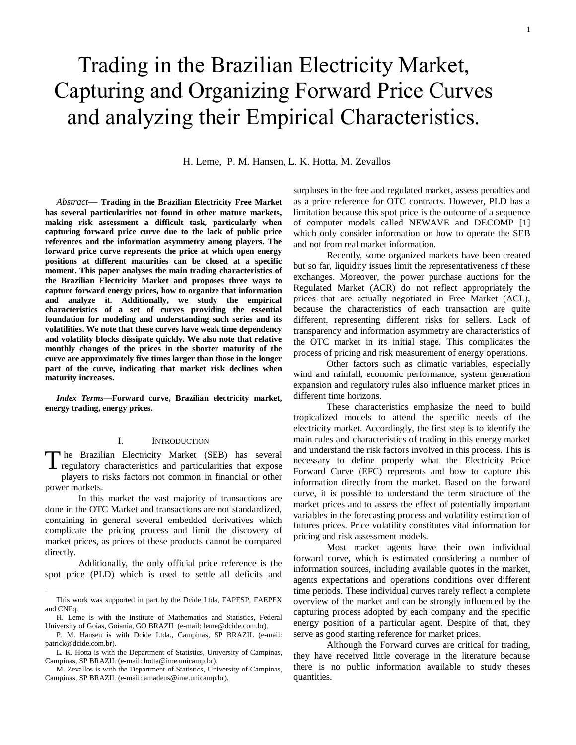# Trading in the Brazilian Electricity Market, Capturing and Organizing Forward Price Curves and analyzing their Empirical Characteristics.

H. Leme, P. M. Hansen, L. K. Hotta, M. Zevallos

*Abstract*— **Trading in the Brazilian Electricity Free Market has several particularities not found in other mature markets, making risk assessment a difficult task, particularly when capturing forward price curve due to the lack of public price references and the information asymmetry among players. The forward price curve represents the price at which open energy positions at different maturities can be closed at a specific moment. This paper analyses the main trading characteristics of the Brazilian Electricity Market and proposes three ways to capture forward energy prices, how to organize that information and analyze it. Additionally, we study the empirical characteristics of a set of curves providing the essential foundation for modeling and understanding such series and its volatilities. We note that these curves have weak time dependency and volatility blocks dissipate quickly. We also note that relative monthly changes of the prices in the shorter maturity of the curve are approximately five times larger than those in the longer part of the curve, indicating that market risk declines when maturity increases.**

*Index Terms***—Forward curve, Brazilian electricity market, energy trading, energy prices.** 

## I. INTRODUCTION

The Brazilian Electricity Market (SEB) has several regulatory characteristics and particularities that expose regulatory characteristics and particularities that expose players to risks factors not common in financial or other power markets.

In this market the vast majority of transactions are done in the OTC Market and transactions are not standardized, containing in general several embedded derivatives which complicate the pricing process and limit the discovery of market prices, as prices of these products cannot be compared directly.

Additionally, the only official price reference is the spot price (PLD) which is used to settle all deficits and

 $\overline{a}$ 

surpluses in the free and regulated market, assess penalties and as a price reference for OTC contracts. However, PLD has a limitation because this spot price is the outcome of a sequence of computer models called NEWAVE and DECOMP [1] which only consider information on how to operate the SEB and not from real market information.

Recently, some organized markets have been created but so far, liquidity issues limit the representativeness of these exchanges. Moreover, the power purchase auctions for the Regulated Market (ACR) do not reflect appropriately the prices that are actually negotiated in Free Market (ACL), because the characteristics of each transaction are quite different, representing different risks for sellers. Lack of transparency and information asymmetry are characteristics of the OTC market in its initial stage. This complicates the process of pricing and risk measurement of energy operations.

Other factors such as climatic variables, especially wind and rainfall, economic performance, system generation expansion and regulatory rules also influence market prices in different time horizons.

These characteristics emphasize the need to build tropicalized models to attend the specific needs of the electricity market. Accordingly, the first step is to identify the main rules and characteristics of trading in this energy market and understand the risk factors involved in this process. This is necessary to define properly what the Electricity Price Forward Curve (EFC) represents and how to capture this information directly from the market. Based on the forward curve, it is possible to understand the term structure of the market prices and to assess the effect of potentially important variables in the forecasting process and volatility estimation of futures prices. Price volatility constitutes vital information for pricing and risk assessment models.

Most market agents have their own individual forward curve, which is estimated considering a number of information sources, including available quotes in the market, agents expectations and operations conditions over different time periods. These individual curves rarely reflect a complete overview of the market and can be strongly influenced by the capturing process adopted by each company and the specific energy position of a particular agent. Despite of that, they serve as good starting reference for market prices.

Although the Forward curves are critical for trading, they have received little coverage in the literature because there is no public information available to study theses quantities.

This work was supported in part by the Dcide Ltda, FAPESP, FAEPEX and CNPq.

H. Leme is with the Institute of Mathematics and Statistics, Federal University of Goias, Goiania, GO BRAZIL (e-mail: leme@dcide.com.br).

P. M. Hansen is with Dcide Ltda., Campinas, SP BRAZIL (e-mail: patrick@dcide.com.br).

L. K. Hotta is with the Department of Statistics, University of Campinas, Campinas, SP BRAZIL (e-mail: hotta@ime.unicamp.br).

M. Zevallos is with the Department of Statistics, University of Campinas, Campinas, SP BRAZIL (e-mail: amadeus@ime.unicamp.br).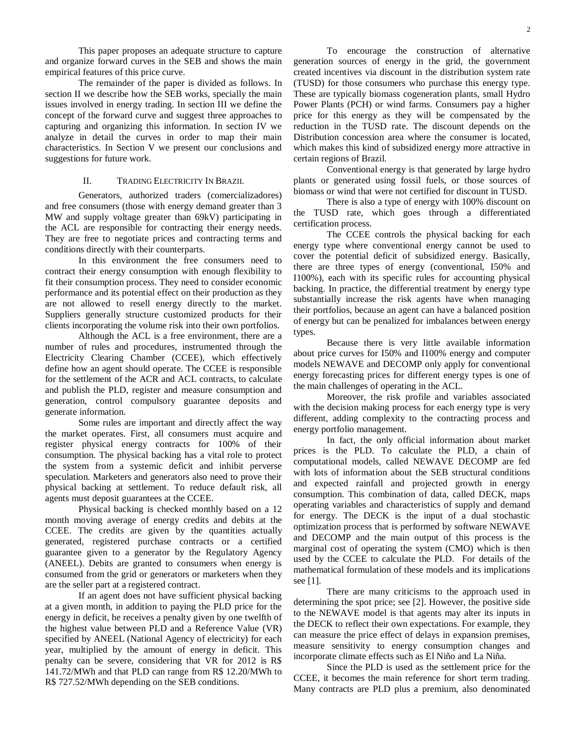This paper proposes an adequate structure to capture and organize forward curves in the SEB and shows the main empirical features of this price curve.

The remainder of the paper is divided as follows. In section II we describe how the SEB works, specially the main issues involved in energy trading. In section III we define the concept of the forward curve and suggest three approaches to capturing and organizing this information. In section IV we analyze in detail the curves in order to map their main characteristics. In Section V we present our conclusions and suggestions for future work.

## II. TRADING ELECTRICITY IN BRAZIL

Generators, authorized traders (comercializadores) and free consumers (those with energy demand greater than 3 MW and supply voltage greater than 69kV) participating in the ACL are responsible for contracting their energy needs. They are free to negotiate prices and contracting terms and conditions directly with their counterparts.

In this environment the free consumers need to contract their energy consumption with enough flexibility to fit their consumption process. They need to consider economic performance and its potential effect on their production as they are not allowed to resell energy directly to the market. Suppliers generally structure customized products for their clients incorporating the volume risk into their own portfolios.

Although the ACL is a free environment, there are a number of rules and procedures, instrumented through the Electricity Clearing Chamber (CCEE), which effectively define how an agent should operate. The CCEE is responsible for the settlement of the ACR and ACL contracts, to calculate and publish the PLD, register and measure consumption and generation, control compulsory guarantee deposits and generate information.

Some rules are important and directly affect the way the market operates. First, all consumers must acquire and register physical energy contracts for 100% of their consumption. The physical backing has a vital role to protect the system from a systemic deficit and inhibit perverse speculation. Marketers and generators also need to prove their physical backing at settlement. To reduce default risk, all agents must deposit guarantees at the CCEE.

Physical backing is checked monthly based on a 12 month moving average of energy credits and debits at the CCEE. The credits are given by the quantities actually generated, registered purchase contracts or a certified guarantee given to a generator by the Regulatory Agency (ANEEL). Debits are granted to consumers when energy is consumed from the grid or generators or marketers when they are the seller part at a registered contract.

If an agent does not have sufficient physical backing at a given month, in addition to paying the PLD price for the energy in deficit, he receives a penalty given by one twelfth of the highest value between PLD and a Reference Value (VR) specified by ANEEL (National Agency of electricity) for each year, multiplied by the amount of energy in deficit. This penalty can be severe, considering that VR for 2012 is R\$ 141.72/MWh and that PLD can range from R\$ 12.20/MWh to R\$ 727.52/MWh depending on the SEB conditions.

To encourage the construction of alternative generation sources of energy in the grid, the government created incentives via discount in the distribution system rate (TUSD) for those consumers who purchase this energy type. These are typically biomass cogeneration plants, small Hydro Power Plants (PCH) or wind farms. Consumers pay a higher price for this energy as they will be compensated by the reduction in the TUSD rate. The discount depends on the Distribution concession area where the consumer is located, which makes this kind of subsidized energy more attractive in certain regions of Brazil.

Conventional energy is that generated by large hydro plants or generated using fossil fuels, or those sources of biomass or wind that were not certified for discount in TUSD.

There is also a type of energy with 100% discount on the TUSD rate, which goes through a differentiated certification process.

The CCEE controls the physical backing for each energy type where conventional energy cannot be used to cover the potential deficit of subsidized energy. Basically, there are three types of energy (conventional, I50% and I100%), each with its specific rules for accounting physical backing. In practice, the differential treatment by energy type substantially increase the risk agents have when managing their portfolios, because an agent can have a balanced position of energy but can be penalized for imbalances between energy types.

Because there is very little available information about price curves for I50% and I100% energy and computer models NEWAVE and DECOMP only apply for conventional energy forecasting prices for different energy types is one of the main challenges of operating in the ACL.

Moreover, the risk profile and variables associated with the decision making process for each energy type is very different, adding complexity to the contracting process and energy portfolio management.

In fact, the only official information about market prices is the PLD. To calculate the PLD, a chain of computational models, called NEWAVE DECOMP are fed with lots of information about the SEB structural conditions and expected rainfall and projected growth in energy consumption. This combination of data, called DECK, maps operating variables and characteristics of supply and demand for energy. The DECK is the input of a dual stochastic optimization process that is performed by software NEWAVE and DECOMP and the main output of this process is the marginal cost of operating the system (CMO) which is then used by the CCEE to calculate the PLD. For details of the mathematical formulation of these models and its implications see [1].

There are many criticisms to the approach used in determining the spot price; see [2]. However, the positive side to the NEWAVE model is that agents may alter its inputs in the DECK to reflect their own expectations. For example, they can measure the price effect of delays in expansion premises, measure sensitivity to energy consumption changes and incorporate climate effects such as El Niño and La Niña.

Since the PLD is used as the settlement price for the CCEE, it becomes the main reference for short term trading. Many contracts are PLD plus a premium, also denominated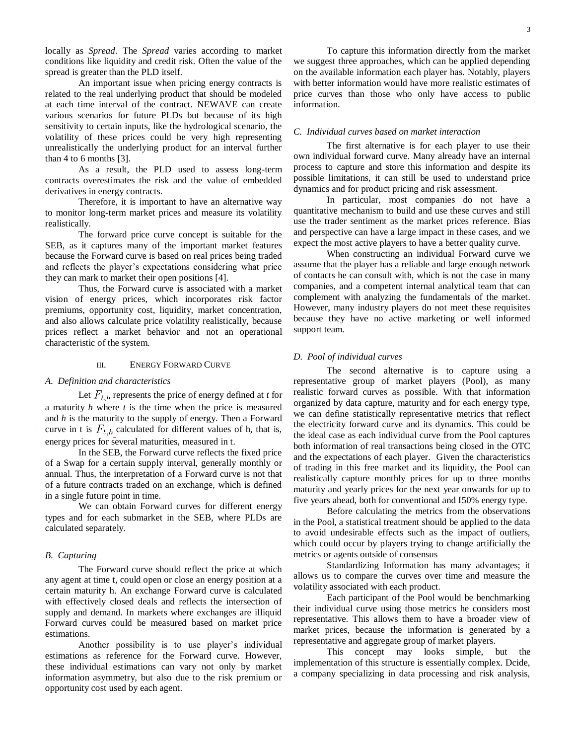locally as *Spread*. The *Spread* varies according to market conditions like liquidity and credit risk. Often the value of the spread is greater than the PLD itself.

An important issue when pricing energy contracts is related to the real underlying product that should be modeled at each time interval of the contract. NEWAVE can create various scenarios for future PLDs but because of its high sensitivity to certain inputs, like the hydrological scenario, the volatility of these prices could be very high representing unrealistically the underlying product for an interval further than 4 to 6 months [3].

As a result, the PLD used to assess long-term contracts overestimates the risk and the value of embedded derivatives in energy contracts.

Therefore, it is important to have an alternative way to monitor long-term market prices and measure its volatility realistically.

The forward price curve concept is suitable for the SEB, as it captures many of the important market features because the Forward curve is based on real prices being traded and reflects the player's expectations considering what price they can mark to market their open positions [4].

Thus, the Forward curve is associated with a market vision of energy prices, which incorporates risk factor premiums, opportunity cost, liquidity, market concentration, and also allows calculate price volatility realistically, because prices reflect a market behavior and not an operational characteristic of the system.

## III. ENERGY FORWARD CURVE

## *A. Definition and characteristics*

Let  $F_{t,h}$  represents the price of energy defined at *t* for a maturity *h* where *t* is the time when the price is measured and *h* is the maturity to the supply of energy. Then a Forward curve in t is  $F_{t,h}$  calculated for different values of h, that is, energy prices for several maturities, measured in t.

In the SEB, the Forward curve reflects the fixed price of a Swap for a certain supply interval, generally monthly or annual. Thus, the interpretation of a Forward curve is not that of a future contracts traded on an exchange, which is defined in a single future point in time.

We can obtain Forward curves for different energy types and for each submarket in the SEB, where PLDs are calculated separately.

#### *B. Capturing*

The Forward curve should reflect the price at which any agent at time t, could open or close an energy position at a certain maturity h. An exchange Forward curve is calculated with effectively closed deals and reflects the intersection of supply and demand. In markets where exchanges are illiquid Forward curves could be measured based on market price estimations.

Another possibility is to use player's individual estimations as reference for the Forward curve. However, these individual estimations can vary not only by market information asymmetry, but also due to the risk premium or opportunity cost used by each agent.

To capture this information directly from the market we suggest three approaches, which can be applied depending on the available information each player has. Notably, players with better information would have more realistic estimates of price curves than those who only have access to public information.

## *C. Individual curves based on market interaction*

The first alternative is for each player to use their own individual forward curve. Many already have an internal process to capture and store this information and despite its possible limitations, it can still be used to understand price dynamics and for product pricing and risk assessment.

In particular, most companies do not have a quantitative mechanism to build and use these curves and still use the trader sentiment as the market prices reference. Bias and perspective can have a large impact in these cases, and we expect the most active players to have a better quality curve.

When constructing an individual Forward curve we assume that the player has a reliable and large enough network of contacts he can consult with, which is not the case in many companies, and a competent internal analytical team that can complement with analyzing the fundamentals of the market. However, many industry players do not meet these requisites because they have no active marketing or well informed support team.

## *D. Pool of individual curves*

The second alternative is to capture using a representative group of market players (Pool), as many realistic forward curves as possible. With that information organized by data capture, maturity and for each energy type, we can define statistically representative metrics that reflect the electricity forward curve and its dynamics. This could be the ideal case as each individual curve from the Pool captures both information of real transactions being closed in the OTC and the expectations of each player. Given the characteristics of trading in this free market and its liquidity, the Pool can realistically capture monthly prices for up to three months maturity and yearly prices for the next year onwards for up to five years ahead, both for conventional and I50% energy type.

Before calculating the metrics from the observations in the Pool, a statistical treatment should be applied to the data to avoid undesirable effects such as the impact of outliers, which could occur by players trying to change artificially the metrics or agents outside of consensus

Standardizing Information has many advantages; it allows us to compare the curves over time and measure the volatility associated with each product.

Each participant of the Pool would be benchmarking their individual curve using those metrics he considers most representative. This allows them to have a broader view of market prices, because the information is generated by a representative and aggregate group of market players.

This concept may looks simple, but the implementation of this structure is essentially complex. Dcide, a company specializing in data processing and risk analysis,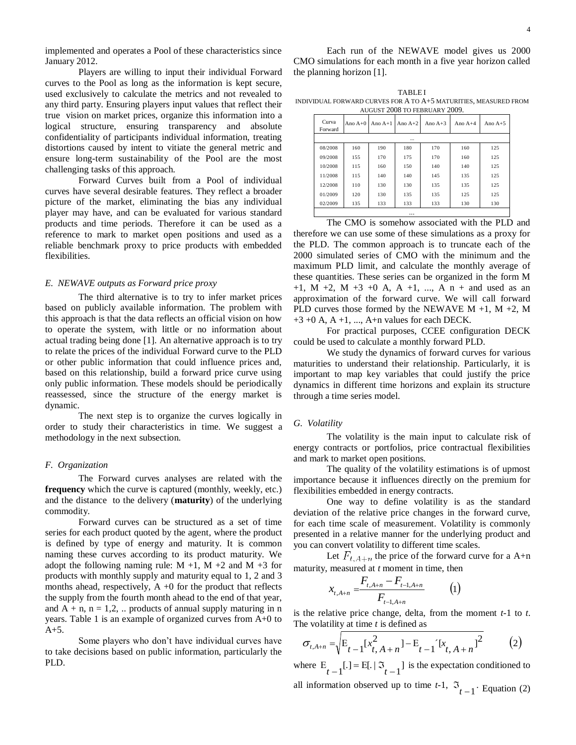implemented and operates a Pool of these characteristics since January 2012.

Players are willing to input their individual Forward curves to the Pool as long as the information is kept secure, used exclusively to calculate the metrics and not revealed to any third party. Ensuring players input values that reflect their true vision on market prices, organize this information into a logical structure, ensuring transparency and absolute confidentiality of participants individual information, treating distortions caused by intent to vitiate the general metric and ensure long-term sustainability of the Pool are the most challenging tasks of this approach.

Forward Curves built from a Pool of individual curves have several desirable features. They reflect a broader picture of the market, eliminating the bias any individual player may have, and can be evaluated for various standard products and time periods. Therefore it can be used as a reference to mark to market open positions and used as a reliable benchmark proxy to price products with embedded flexibilities.

## *E. NEWAVE outputs as Forward price proxy*

The third alternative is to try to infer market prices based on publicly available information. The problem with this approach is that the data reflects an official vision on how to operate the system, with little or no information about actual trading being done [1]. An alternative approach is to try to relate the prices of the individual Forward curve to the PLD or other public information that could influence prices and, based on this relationship, build a forward price curve using only public information. These models should be periodically reassessed, since the structure of the energy market is dynamic.

The next step is to organize the curves logically in order to study their characteristics in time. We suggest a methodology in the next subsection.

## *F. Organization*

The Forward curves analyses are related with the **frequency** which the curve is captured (monthly, weekly, etc.) and the distance to the delivery (**maturity**) of the underlying commodity.

Forward curves can be structured as a set of time series for each product quoted by the agent, where the product is defined by type of energy and maturity. It is common naming these curves according to its product maturity. We adopt the following naming rule:  $M +1$ ,  $M +2$  and  $M +3$  for products with monthly supply and maturity equal to 1, 2 and 3 months ahead, respectively,  $A +0$  for the product that reflects the supply from the fourth month ahead to the end of that year, and  $A + n$ ,  $n = 1,2, \ldots$  products of annual supply maturing in n years. Table 1 is an example of organized curves from A+0 to A+5.

Some players who don't have individual curves have to take decisions based on public information, particularly the PLD.

Each run of the NEWAVE model gives us 2000 CMO simulations for each month in a five year horizon called the planning horizon [1].

**TABLE I** INDIVIDUAL FORWARD CURVES FOR A TO A+5 MATURITIES, MEASURED FROM AUGUST 2008 TO FEBRUARY 2009.

| Curva<br>Forward | Ano $A+0$ | Ano $A+1$ Ano $A+2$ |     | Ano $A+3$ | Ano $A+4$ | Ano $A+5$ |  |  |  |  |  |
|------------------|-----------|---------------------|-----|-----------|-----------|-----------|--|--|--|--|--|
| $\cdots$         |           |                     |     |           |           |           |  |  |  |  |  |
| 08/2008          | 160       | 190                 | 180 | 170       | 160       | 125       |  |  |  |  |  |
| 09/2008          | 155       | 170                 | 175 | 170       | 160       | 125       |  |  |  |  |  |
| 10/2008          | 115       | 160                 | 150 | 140       | 140       | 125       |  |  |  |  |  |
| 11/2008          | 115       | 140                 | 140 | 145       | 135       | 125       |  |  |  |  |  |
| 12/2008          | 110       | 130                 | 130 | 135       | 135       | 125       |  |  |  |  |  |
| 01/2009          | 120       | 130                 | 135 | 135       | 125       | 125       |  |  |  |  |  |
| 02/2009          | 135       | 133                 | 133 | 133       | 130       | 130       |  |  |  |  |  |
|                  |           |                     |     |           |           |           |  |  |  |  |  |

The CMO is somehow associated with the PLD and therefore we can use some of these simulations as a proxy for the PLD. The common approach is to truncate each of the 2000 simulated series of CMO with the minimum and the maximum PLD limit, and calculate the monthly average of these quantities. These series can be organized in the form M  $+1$ , M  $+2$ , M  $+3$   $+0$  A, A  $+1$ , ..., A n  $+$  and used as an approximation of the forward curve. We will call forward PLD curves those formed by the NEWAVE  $M +1$ ,  $M +2$ , M  $+3 +0$  A, A  $+1$ , ..., A $+n$  values for each DECK.

For practical purposes, CCEE configuration DECK could be used to calculate a monthly forward PLD.

We study the dynamics of forward curves for various maturities to understand their relationship. Particularly, it is important to map key variables that could justify the price dynamics in different time horizons and explain its structure through a time series model.

## *G. Volatility*

The volatility is the main input to calculate risk of energy contracts or portfolios, price contractual flexibilities and mark to market open positions.

The quality of the volatility estimations is of upmost importance because it influences directly on the premium for flexibilities embedded in energy contracts.

One way to define volatility is as the standard deviation of the relative price changes in the forward curve, for each time scale of measurement. Volatility is commonly presented in a relative manner for the underlying product and you can convert volatility to different time scales.

Let  $F_{t,A+n}$  the price of the forward curve for a A+n maturity, measured at *t* moment in time, then

$$
x_{t,A+n} = \frac{F_{t,A+n} - F_{t-1,A+n}}{F_{t-1,A+n}} \tag{1}
$$

is the relative price change, delta, from the moment *t*-1 to *t*. The volatility at time *t* is defined as

the volatility at time *t* is defined as  
\n
$$
\sigma_{t,A+n} = \sqrt{E_{t-1}[x_{t,A+n}^2] - E_{t-1}[x_{t,A+n}^2]^2}
$$
\n(2)

where  $E_{t-1}$ [.] =  $E$ [. |  $\mathfrak{I}_{t-1}$ ] is the expectation conditioned to all information observed up to time  $t-1$ ,  $\mathfrak{I}_{t-1}$ . Equation (2)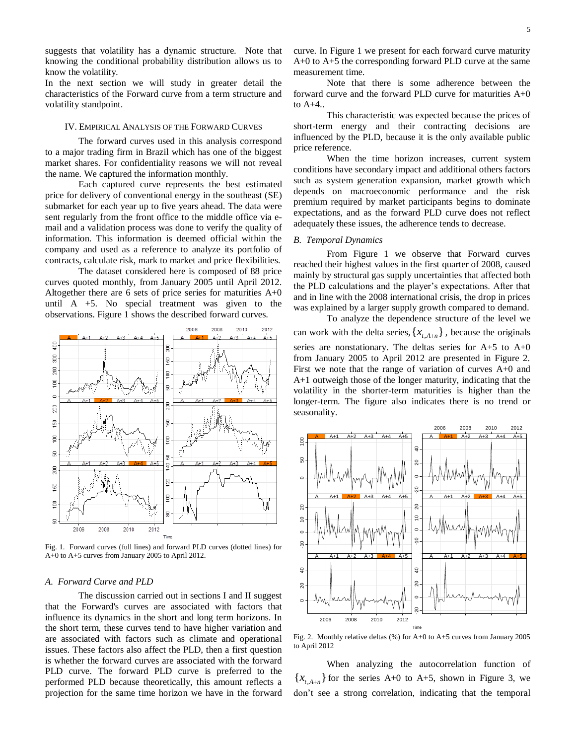suggests that volatility has a dynamic structure. Note that knowing the conditional probability distribution allows us to know the volatility.

In the next section we will study in greater detail the characteristics of the Forward curve from a term structure and volatility standpoint.

## IV. EMPIRICAL ANALYSIS OF THE FORWARD CURVES

The forward curves used in this analysis correspond to a major trading firm in Brazil which has one of the biggest market shares. For confidentiality reasons we will not reveal the name. We captured the information monthly.

Each captured curve represents the best estimated price for delivery of conventional energy in the southeast (SE) submarket for each year up to five years ahead. The data were sent regularly from the front office to the middle office via email and a validation process was done to verify the quality of information. This information is deemed official within the company and used as a reference to analyze its portfolio of contracts, calculate risk, mark to market and price flexibilities.

The dataset considered here is composed of 88 price curves quoted monthly, from January 2005 until April 2012. Altogether there are 6 sets of price series for maturities  $A+0$ until A +5. No special treatment was given to the observations. Figure 1 shows the described forward curves.



Fig. 1. Forward curves (full lines) and forward PLD curves (dotted lines) for A+0 to A+5 curves from January 2005 to April 2012.

# *A. Forward Curve and PLD*

The discussion carried out in sections I and II suggest that the Forward's curves are associated with factors that influence its dynamics in the short and long term horizons. In the short term, these curves tend to have higher variation and are associated with factors such as climate and operational issues. These factors also affect the PLD, then a first question is whether the forward curves are associated with the forward PLD curve. The forward PLD curve is preferred to the performed PLD because theoretically, this amount reflects a projection for the same time horizon we have in the forward

curve. In Figure 1 we present for each forward curve maturity A+0 to A+5 the corresponding forward PLD curve at the same measurement time.

Note that there is some adherence between the forward curve and the forward PLD curve for maturities A+0 to A+4..

This characteristic was expected because the prices of short-term energy and their contracting decisions are influenced by the PLD, because it is the only available public price reference.

When the time horizon increases, current system conditions have secondary impact and additional others factors such as system generation expansion, market growth which depends on macroeconomic performance and the risk premium required by market participants begins to dominate expectations, and as the forward PLD curve does not reflect adequately these issues, the adherence tends to decrease.

## *B. Temporal Dynamics*

From Figure 1 we observe that Forward curves reached their highest values in the first quarter of 2008, caused mainly by structural gas supply uncertainties that affected both the PLD calculations and the player's expectations. After that and in line with the 2008 international crisis, the drop in prices was explained by a larger supply growth compared to demand.

To analyze the dependence structure of the level we can work with the delta series,  $\{x_{t,A+n}\}\$ , because the originals series are nonstationary. The deltas series for  $A+5$  to  $A+0$ from January 2005 to April 2012 are presented in Figure 2. First we note that the range of variation of curves A+0 and A+1 outweigh those of the longer maturity, indicating that the volatility in the shorter-term maturities is higher than the longer-term. The figure also indicates there is no trend or seasonality.



Fig. 2. Monthly relative deltas (%) for A+0 to A+5 curves from January 2005 to April 2012

When analyzing the autocorrelation function of  ${x}_{t,A+n}$  for the series A+0 to A+5, shown in Figure 3, we don't see a strong correlation, indicating that the temporal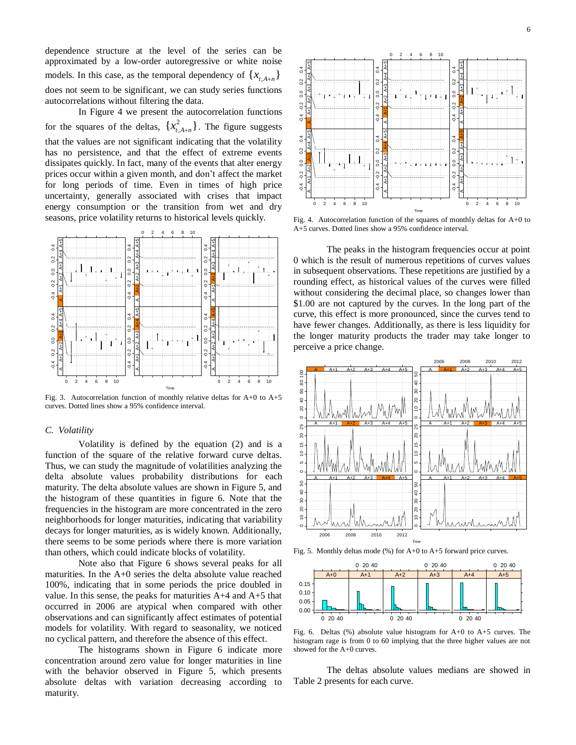dependence structure at the level of the series can be approximated by a low-order autoregressive or white noise models. In this case, as the temporal dependency of  $\{x_{t,A+n}\}\$ does not seem to be significant, we can study series functions autocorrelations without filtering the data.

In Figure 4 we present the autocorrelation functions for the squares of the deltas,  $\{x_{tA+n}^2\}$  $x_{t,A+n}^2$ . The figure suggests that the values are not significant indicating that the volatility has no persistence, and that the effect of extreme events dissipates quickly. In fact, many of the events that alter energy prices occur within a given month, and don't affect the market for long periods of time. Even in times of high price uncertainty, generally associated with crises that impact energy consumption or the transition from wet and dry seasons, price volatility returns to historical levels quickly.



Fig. 3. Autocorrelation function of monthly relative deltas for  $A+0$  to  $A+5$ curves. Dotted lines show a 95% confidence interval.

## *C. Volatility*

Volatility is defined by the equation (2) and is a function of the square of the relative forward curve deltas. Thus, we can study the magnitude of volatilities analyzing the delta absolute values probability distributions for each maturity. The delta absolute values are shown in Figure 5, and the histogram of these quantities in figure 6. Note that the frequencies in the histogram are more concentrated in the zero neighborhoods for longer maturities, indicating that variability decays for longer maturities, as is widely known. Additionally, there seems to be some periods where there is more variation than others, which could indicate blocks of volatility.

Note also that Figure 6 shows several peaks for all maturities. In the A+0 series the delta absolute value reached 100%, indicating that in some periods the price doubled in value. In this sense, the peaks for maturities  $A+4$  and  $A+5$  that occurred in 2006 are atypical when compared with other observations and can significantly affect estimates of potential models for volatility. With regard to seasonality, we noticed no cyclical pattern, and therefore the absence of this effect.

The histograms shown in Figure 6 indicate more concentration around zero value for longer maturities in line with the behavior observed in Figure 5, which presents absolute deltas with variation decreasing according to maturity.



Fig. 4. Autocorrelation function of the squares of monthly deltas for A+0 to A+5 curves. Dotted lines show a 95% confidence interval.

The peaks in the histogram frequencies occur at point 0 which is the result of numerous repetitions of curves values in subsequent observations. These repetitions are justified by a rounding effect, as historical values of the curves were filled without considering the decimal place, so changes lower than \$1.00 are not captured by the curves. In the long part of the curve, this effect is more pronounced, since the curves tend to have fewer changes. Additionally, as there is less liquidity for the longer maturity products the trader may take longer to perceive a price change.



Fig. 5. Monthly deltas mode (%) for A+0 to A+5 forward price curves.



Fig. 6. Deltas (%) absolute value histogram for A+0 to A+5 curves. The histogram rage is from 0 to 60 implying that the three higher values are not showed for the A+0 curves.

The deltas absolute values medians are showed in Table 2 presents for each curve.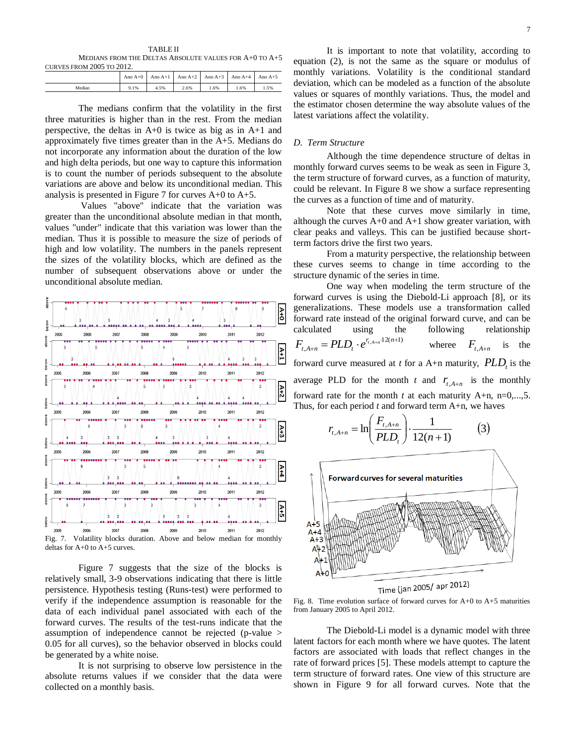TABLE II MEDIANS FROM THE DELTAS ABSOLUTE VALUES FOR A+0 TO A+5 CURVES FROM  $2005$  TO  $2012$ 

|        |      |      | Ano A+0   Ano A+1   Ano A+2   Ano A+3   Ano A+4   Ano A+5 |      |     |        |  |  |  |  |
|--------|------|------|-----------------------------------------------------------|------|-----|--------|--|--|--|--|
| Median | 9.1% | 4.5% | 2.6%                                                      | 1.6% | .6% | . . 5% |  |  |  |  |

The medians confirm that the volatility in the first three maturities is higher than in the rest. From the median perspective, the deltas in A+0 is twice as big as in A+1 and approximately five times greater than in the A+5. Medians do not incorporate any information about the duration of the low and high delta periods, but one way to capture this information is to count the number of periods subsequent to the absolute variations are above and below its unconditional median. This analysis is presented in Figure 7 for curves A+0 to A+5.

Values "above" indicate that the variation was greater than the unconditional absolute median in that month, values "under" indicate that this variation was lower than the median. Thus it is possible to measure the size of periods of high and low volatility. The numbers in the panels represent the sizes of the volatility blocks, which are defined as the number of subsequent observations above or under the unconditional absolute median.



Figure 7 suggests that the size of the blocks is relatively small, 3-9 observations indicating that there is little persistence. Hypothesis testing (Runs-test) were performed to verify if the independence assumption is reasonable for the data of each individual panel associated with each of the forward curves. The results of the test-runs indicate that the assumption of independence cannot be rejected (p-value > 0.05 for all curves), so the behavior observed in blocks could be generated by a white noise.

It is not surprising to observe low persistence in the absolute returns values if we consider that the data were collected on a monthly basis.

It is important to note that volatility, according to equation (2), is not the same as the square or modulus of monthly variations. Volatility is the conditional standard deviation, which can be modeled as a function of the absolute values or squares of monthly variations. Thus, the model and the estimator chosen determine the way absolute values of the latest variations affect the volatility.

#### *D. Term Structure*

Although the time dependence structure of deltas in monthly forward curves seems to be weak as seen in Figure 3, the term structure of forward curves, as a function of maturity, could be relevant. In Figure 8 we show a surface representing the curves as a function of time and of maturity.

Note that these curves move similarly in time, although the curves A+0 and A+1 show greater variation, with clear peaks and valleys. This can be justified because shortterm factors drive the first two years.

From a maturity perspective, the relationship between these curves seems to change in time according to the structure dynamic of the series in time.

One way when modeling the term structure of the forward curves is using the Diebold-Li approach [8], or its generalizations. These models use a transformation called forward rate instead of the original forward curve, and can be calculated using the following relationship  $12(n+1)$  $_{A+n} = PLD_t \cdot e^{r_{t,A+n} \cdot 12(n+1)}$  $_{+n} = PLD_{t} \cdot e^{r_{t,A+n} \cdot 12(n)}$  $F_{t, A+n} = PLD_t \cdot e^{r_{t, A+n}}$ wheree  $F_{t,A+n}$ is the forward curve measured at *t* for a A+n maturity,  $PLD<sub>t</sub>$  is the average PLD for the month *t* and  $r_{t, A+n}$  is the monthly forward rate for the month  $t$  at each maturity  $A+n$ ,  $n=0,...,5$ . Thus, for each period *t* and forward term A+n, we haves



Fig. 8. Time evolution surface of forward curves for  $A+0$  to  $A+5$  maturities from January 2005 to April 2012.

The Diebold-Li model is a dynamic model with three latent factors for each month where we have quotes. The latent factors are associated with loads that reflect changes in the rate of forward prices [5]. These models attempt to capture the term structure of forward rates. One view of this structure are shown in Figure 9 for all forward curves. Note that the